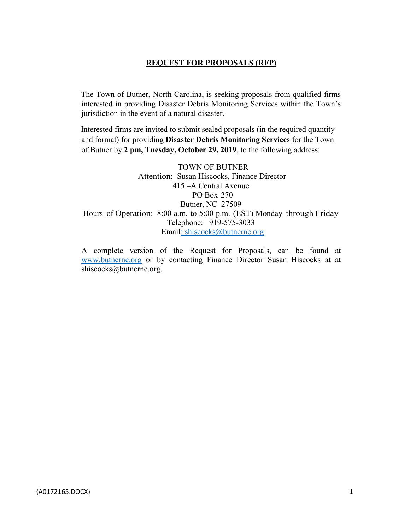#### **REQUEST FOR PROPOSALS (RFP)**

The Town of Butner, North Carolina, is seeking proposals from qualified firms interested in providing Disaster Debris Monitoring Services within the Town's jurisdiction in the event of a natural disaster.

Interested firms are invited to submit sealed proposals (in the required quantity and format) for providing **Disaster Debris Monitoring Services** for the Town of Butner by **2 pm, Tuesday, October 29, 2019**, to the following address:

 TOWN OF BUTNER Attention: Susan Hiscocks, Finance Director 415 –A Central Avenue PO Box 270 Butner, NC 27509 Hours of Operation: 8:00 a.m. to 5:00 p.m. (EST) Monday through Friday Telephone: 919-575-3033 Emai[l: shiscocks@](mailto::%20shiscocks)butnernc.org

A complete version of the Request for Proposals, can be found at [www.butnernc.org](http://www.butnernc.org/) or by contacting Finance Director Susan Hiscocks at at shiscocks@butnernc.org.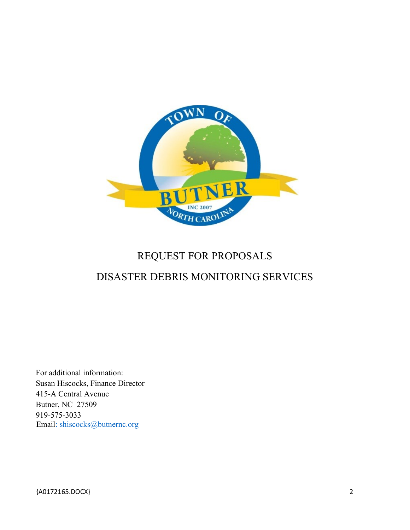

# REQUEST FOR PROPOSALS DISASTER DEBRIS MONITORING SERVICES

For additional information: Susan Hiscocks, Finance Director 415-A Central Avenue Butner, NC 27509 919-575-3033 Emai[l: shiscocks@](mailto::%20shiscocks)butnernc.org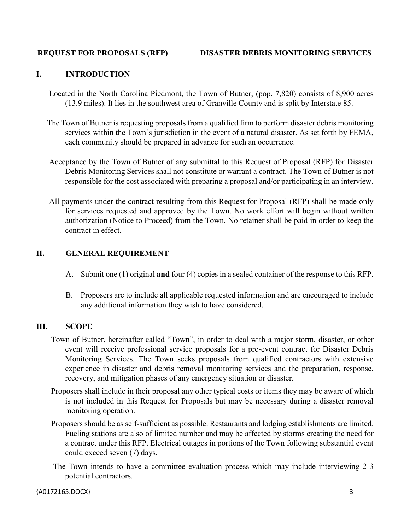#### **REQUEST FOR PROPOSALS (RFP) DISASTER DEBRIS MONITORING SERVICES**

# **I. INTRODUCTION**

- Located in the North Carolina Piedmont, the Town of Butner, (pop. 7,820) consists of 8,900 acres (13.9 miles). It lies in the southwest area of Granville County and is split by Interstate 85.
- The Town of Butner is requesting proposals from a qualified firm to perform disaster debris monitoring services within the Town's jurisdiction in the event of a natural disaster. As set forth by FEMA, each community should be prepared in advance for such an occurrence.
- Acceptance by the Town of Butner of any submittal to this Request of Proposal (RFP) for Disaster Debris Monitoring Services shall not constitute or warrant a contract. The Town of Butner is not responsible for the cost associated with preparing a proposal and/or participating in an interview.
- All payments under the contract resulting from this Request for Proposal (RFP) shall be made only for services requested and approved by the Town. No work effort will begin without written authorization (Notice to Proceed) from the Town. No retainer shall be paid in order to keep the contract in effect.

# **II. GENERAL REQUIREMENT**

- A. Submit one (1) original **and** four (4) copies in a sealed container of the response to this RFP.
- B. Proposers are to include all applicable requested information and are encouraged to include any additional information they wish to have considered.

# **III. SCOPE**

- Town of Butner, hereinafter called "Town", in order to deal with a major storm, disaster, or other event will receive professional service proposals for a pre-event contract for Disaster Debris Monitoring Services. The Town seeks proposals from qualified contractors with extensive experience in disaster and debris removal monitoring services and the preparation, response, recovery, and mitigation phases of any emergency situation or disaster.
- Proposers shall include in their proposal any other typical costs or items they may be aware of which is not included in this Request for Proposals but may be necessary during a disaster removal monitoring operation.
- Proposers should be as self-sufficient as possible. Restaurants and lodging establishments are limited. Fueling stations are also of limited number and may be affected by storms creating the need for a contract under this RFP. Electrical outages in portions of the Town following substantial event could exceed seven (7) days.
- The Town intends to have a committee evaluation process which may include interviewing 2-3 potential contractors.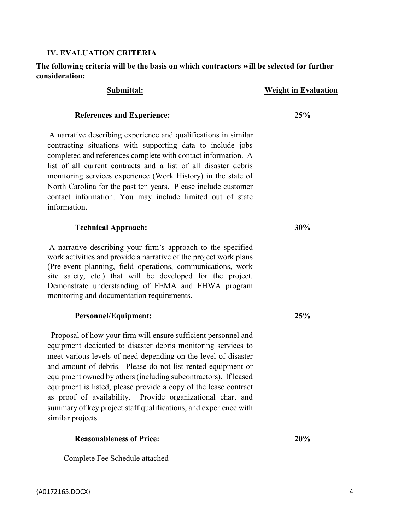#### **IV. EVALUATION CRITERIA**

**The following criteria will be the basis on which contractors will be selected for further consideration:** 

| Submittal:                                                                                                                                                                                                                                                                                                                                                                                                                                                                                                                                                      | <b>Weight in Evaluation</b> |
|-----------------------------------------------------------------------------------------------------------------------------------------------------------------------------------------------------------------------------------------------------------------------------------------------------------------------------------------------------------------------------------------------------------------------------------------------------------------------------------------------------------------------------------------------------------------|-----------------------------|
| <b>References and Experience:</b>                                                                                                                                                                                                                                                                                                                                                                                                                                                                                                                               | 25%                         |
| A narrative describing experience and qualifications in similar<br>contracting situations with supporting data to include jobs<br>completed and references complete with contact information. A<br>list of all current contracts and a list of all disaster debris<br>monitoring services experience (Work History) in the state of<br>North Carolina for the past ten years. Please include customer<br>contact information. You may include limited out of state<br>information.                                                                              |                             |
| <b>Technical Approach:</b>                                                                                                                                                                                                                                                                                                                                                                                                                                                                                                                                      | 30%                         |
| A narrative describing your firm's approach to the specified<br>work activities and provide a narrative of the project work plans<br>(Pre-event planning, field operations, communications, work<br>site safety, etc.) that will be developed for the project.<br>Demonstrate understanding of FEMA and FHWA program<br>monitoring and documentation requirements.                                                                                                                                                                                              |                             |
| Personnel/Equipment:                                                                                                                                                                                                                                                                                                                                                                                                                                                                                                                                            | 25%                         |
| Proposal of how your firm will ensure sufficient personnel and<br>equipment dedicated to disaster debris monitoring services to<br>meet various levels of need depending on the level of disaster<br>and amount of debris. Please do not list rented equipment or<br>equipment owned by others (including subcontractors). If leased<br>equipment is listed, please provide a copy of the lease contract<br>as proof of availability. Provide organizational chart and<br>summary of key project staff qualifications, and experience with<br>similar projects. |                             |
| <b>Reasonableness of Price:</b>                                                                                                                                                                                                                                                                                                                                                                                                                                                                                                                                 | 20%                         |

Complete Fee Schedule attached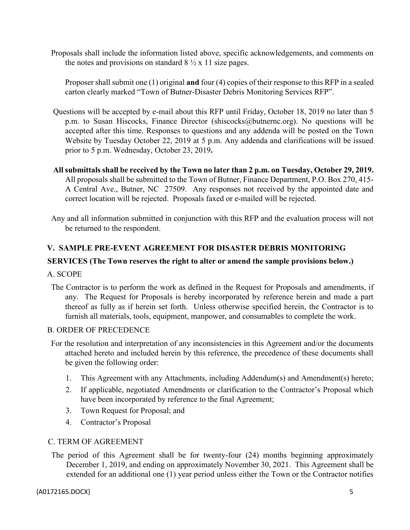Proposals shall include the information listed above, specific acknowledgements, and comments on the notes and provisions on standard  $8\frac{1}{2} \times 11$  size pages.

 Proposer shall submit one (1) original **and** four (4) copies of their response to this RFP in a sealed carton clearly marked "Town of Butner-Disaster Debris Monitoring Services RFP".

- Questions will be accepted by e-mail about this RFP until Friday, October 18, 2019 no later than 5 p.m. to Susan Hiscocks, Finance Director (shiscocks@butnernc.org). No questions will be accepted after this time. Responses to questions and any addenda will be posted on the Town Website by Tuesday October 22, 2019 at 5 p.m. Any addenda and clarifications will be issued prior to 5 p.m. Wednesday, October 23, 2019**.**
- **All submittals shall be received by the Town no later than 2 p.m. on Tuesday, October 29, 2019.**  All proposals shall be submitted to the Town of Butner, Finance Department, P.O. Box 270, 415- A Central Ave., Butner, NC 27509. Any responses not received by the appointed date and correct location will be rejected. Proposals faxed or e-mailed will be rejected.
- Any and all information submitted in conjunction with this RFP and the evaluation process will not be returned to the respondent.

## **V. SAMPLE PRE-EVENT AGREEMENT FOR DISASTER DEBRIS MONITORING**

## **SERVICES (The Town reserves the right to alter or amend the sample provisions below.)**

#### A. SCOPE

 The Contractor is to perform the work as defined in the Request for Proposals and amendments, if any. The Request for Proposals is hereby incorporated by reference herein and made a part thereof as fully as if herein set forth. Unless otherwise specified herein, the Contractor is to furnish all materials, tools, equipment, manpower, and consumables to complete the work.

#### B. ORDER OF PRECEDENCE

- For the resolution and interpretation of any inconsistencies in this Agreement and/or the documents attached hereto and included herein by this reference, the precedence of these documents shall be given the following order:
	- 1. This Agreement with any Attachments, including Addendum(s) and Amendment(s) hereto;
	- 2. If applicable, negotiated Amendments or clarification to the Contractor's Proposal which have been incorporated by reference to the final Agreement;
	- 3. Town Request for Proposal; and
	- 4. Contractor's Proposal

## C. TERM OF AGREEMENT

The period of this Agreement shall be for twenty-four (24) months beginning approximately December 1, 2019, and ending on approximately November 30, 2021. This Agreement shall be extended for an additional one (1) year period unless either the Town or the Contractor notifies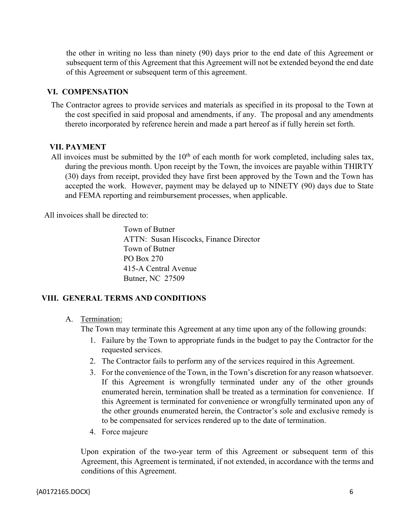the other in writing no less than ninety (90) days prior to the end date of this Agreement or subsequent term of this Agreement that this Agreement will not be extended beyond the end date of this Agreement or subsequent term of this agreement.

#### **VI. COMPENSATION**

The Contractor agrees to provide services and materials as specified in its proposal to the Town at the cost specified in said proposal and amendments, if any. The proposal and any amendments thereto incorporated by reference herein and made a part hereof as if fully herein set forth.

#### **VII. PAYMENT**

All invoices must be submitted by the  $10<sup>th</sup>$  of each month for work completed, including sales tax, during the previous month. Upon receipt by the Town, the invoices are payable within THIRTY (30) days from receipt, provided they have first been approved by the Town and the Town has accepted the work. However, payment may be delayed up to NINETY (90) days due to State and FEMA reporting and reimbursement processes, when applicable.

All invoices shall be directed to:

Town of Butner ATTN: Susan Hiscocks, Finance Director Town of Butner PO Box 270 415-A Central Avenue Butner, NC 27509

#### **VIII. GENERAL TERMS AND CONDITIONS**

A. Termination:

The Town may terminate this Agreement at any time upon any of the following grounds:

- 1. Failure by the Town to appropriate funds in the budget to pay the Contractor for the requested services.
- 2. The Contractor fails to perform any of the services required in this Agreement.
- 3. For the convenience of the Town, in the Town's discretion for any reason whatsoever. If this Agreement is wrongfully terminated under any of the other grounds enumerated herein, termination shall be treated as a termination for convenience. If this Agreement is terminated for convenience or wrongfully terminated upon any of the other grounds enumerated herein, the Contractor's sole and exclusive remedy is to be compensated for services rendered up to the date of termination.
- 4. Force majeure

Upon expiration of the two-year term of this Agreement or subsequent term of this Agreement, this Agreement is terminated, if not extended, in accordance with the terms and conditions of this Agreement.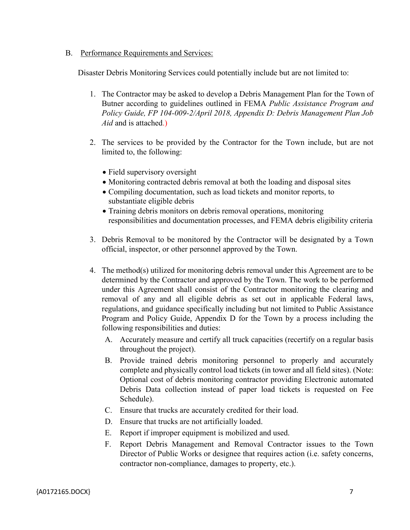#### B. Performance Requirements and Services:

Disaster Debris Monitoring Services could potentially include but are not limited to:

- 1. The Contractor may be asked to develop a Debris Management Plan for the Town of Butner according to guidelines outlined in FEMA *Public Assistance Program and Policy Guide, FP 104-009-2/April 2018, Appendix D: Debris Management Plan Job Aid* and is attached.)
- 2. The services to be provided by the Contractor for the Town include, but are not limited to, the following:
	- Field supervisory oversight
	- Monitoring contracted debris removal at both the loading and disposal sites
	- Compiling documentation, such as load tickets and monitor reports, to substantiate eligible debris
	- Training debris monitors on debris removal operations, monitoring responsibilities and documentation processes, and FEMA debris eligibility criteria
- 3. Debris Removal to be monitored by the Contractor will be designated by a Town official, inspector, or other personnel approved by the Town.
- 4. The method(s) utilized for monitoring debris removal under this Agreement are to be determined by the Contractor and approved by the Town. The work to be performed under this Agreement shall consist of the Contractor monitoring the clearing and removal of any and all eligible debris as set out in applicable Federal laws, regulations, and guidance specifically including but not limited to Public Assistance Program and Policy Guide, Appendix D for the Town by a process including the following responsibilities and duties:
	- A. Accurately measure and certify all truck capacities (recertify on a regular basis throughout the project).
	- B. Provide trained debris monitoring personnel to properly and accurately complete and physically control load tickets (in tower and all field sites). (Note: Optional cost of debris monitoring contractor providing Electronic automated Debris Data collection instead of paper load tickets is requested on Fee Schedule).
	- C. Ensure that trucks are accurately credited for their load.
	- D. Ensure that trucks are not artificially loaded.
	- E. Report if improper equipment is mobilized and used.
	- F. Report Debris Management and Removal Contractor issues to the Town Director of Public Works or designee that requires action (i.e. safety concerns, contractor non-compliance, damages to property, etc.).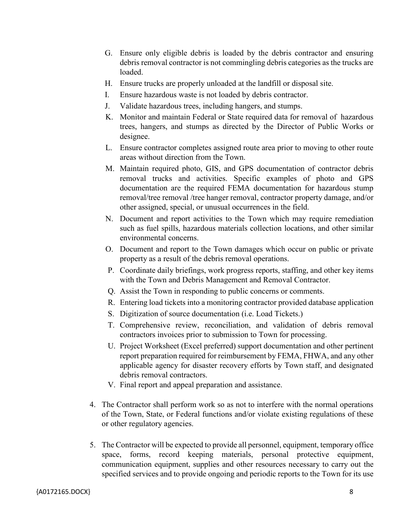- G. Ensure only eligible debris is loaded by the debris contractor and ensuring debris removal contractor is not commingling debris categories as the trucks are loaded.
- H. Ensure trucks are properly unloaded at the landfill or disposal site.
- I. Ensure hazardous waste is not loaded by debris contractor.
- J. Validate hazardous trees, including hangers, and stumps.
- K. Monitor and maintain Federal or State required data for removal of hazardous trees, hangers, and stumps as directed by the Director of Public Works or designee.
- L. Ensure contractor completes assigned route area prior to moving to other route areas without direction from the Town.
- M. Maintain required photo, GIS, and GPS documentation of contractor debris removal trucks and activities. Specific examples of photo and GPS documentation are the required FEMA documentation for hazardous stump removal/tree removal /tree hanger removal, contractor property damage, and/or other assigned, special, or unusual occurrences in the field.
- N. Document and report activities to the Town which may require remediation such as fuel spills, hazardous materials collection locations, and other similar environmental concerns.
- O. Document and report to the Town damages which occur on public or private property as a result of the debris removal operations.
- P. Coordinate daily briefings, work progress reports, staffing, and other key items with the Town and Debris Management and Removal Contractor.
- Q. Assist the Town in responding to public concerns or comments.
- R. Entering load tickets into a monitoring contractor provided database application
- S. Digitization of source documentation (i.e. Load Tickets.)
- T. Comprehensive review, reconciliation, and validation of debris removal contractors invoices prior to submission to Town for processing.
- U. Project Worksheet (Excel preferred) support documentation and other pertinent report preparation required for reimbursement by FEMA, FHWA, and any other applicable agency for disaster recovery efforts by Town staff, and designated debris removal contractors.
- V. Final report and appeal preparation and assistance.
- 4. The Contractor shall perform work so as not to interfere with the normal operations of the Town, State, or Federal functions and/or violate existing regulations of these or other regulatory agencies.
- 5. The Contractor will be expected to provide all personnel, equipment, temporary office space, forms, record keeping materials, personal protective equipment, communication equipment, supplies and other resources necessary to carry out the specified services and to provide ongoing and periodic reports to the Town for its use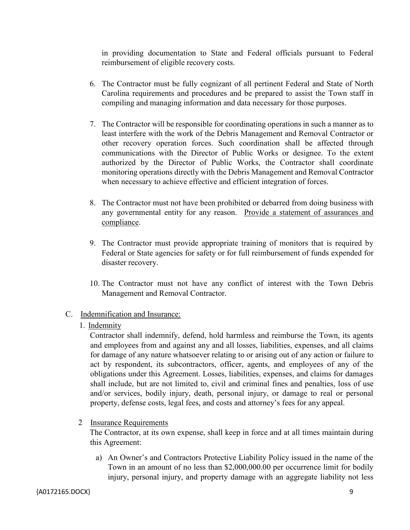in providing documentation to State and Federal officials pursuant to Federal reimbursement of eligible recovery costs.

- 6. The Contractor must be fully cognizant of all pertinent Federal and State of North Carolina requirements and procedures and be prepared to assist the Town staff in compiling and managing information and data necessary for those purposes.
- 7. The Contractor will be responsible for coordinating operations in such a manner as to least interfere with the work of the Debris Management and Removal Contractor or other recovery operation forces. Such coordination shall be affected through communications with the Director of Public Works or designee. To the extent authorized by the Director of Public Works, the Contractor shall coordinate monitoring operations directly with the Debris Management and Removal Contractor when necessary to achieve effective and efficient integration of forces.
- 8. The Contractor must not have been prohibited or debarred from doing business with any governmental entity for any reason. Provide a statement of assurances and compliance.
- 9. The Contractor must provide appropriate training of monitors that is required by Federal or State agencies for safety or for full reimbursement of funds expended for disaster recovery.
- 10. The Contractor must not have any conflict of interest with the Town Debris Management and Removal Contractor.

#### C. Indemnification and Insurance:

1. Indemnity

Contractor shall indemnify, defend, hold harmless and reimburse the Town, its agents and employees from and against any and all losses, liabilities, expenses, and all claims for damage of any nature whatsoever relating to or arising out of any action or failure to act by respondent, its subcontractors, officer, agents, and employees of any of the obligations under this Agreement. Losses, liabilities, expenses, and claims for damages shall include, but are not limited to, civil and criminal fines and penalties, loss of use and/or services, bodily injury, death, personal injury, or damage to real or personal property, defense costs, legal fees, and costs and attorney's fees for any appeal.

2 Insurance Requirements

The Contractor, at its own expense, shall keep in force and at all times maintain during this Agreement:

a) An Owner's and Contractors Protective Liability Policy issued in the name of the Town in an amount of no less than \$2,000,000.00 per occurrence limit for bodily injury, personal injury, and property damage with an aggregate liability not less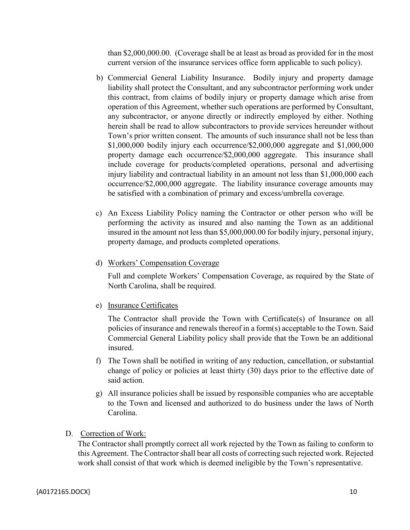than \$2,000,000.00. (Coverage shall be at least as broad as provided for in the most current version of the insurance services office form applicable to such policy).

- b) Commercial General Liability Insurance. Bodily injury and property damage liability shall protect the Consultant, and any subcontractor performing work under this contract, from claims of bodily injury or property damage which arise from operation of this Agreement, whether such operations are performed by Consultant, any subcontractor, or anyone directly or indirectly employed by either. Nothing herein shall be read to allow subcontractors to provide services hereunder without Town's prior written consent. The amounts of such insurance shall not be less than \$1,000,000 bodily injury each occurrence/\$2,000,000 aggregate and \$1,000,000 property damage each occurrence/\$2,000,000 aggregate. This insurance shall include coverage for products/completed operations, personal and advertising injury liability and contractual liability in an amount not less than \$1,000,000 each occurrence/\$2,000,000 aggregate. The liability insurance coverage amounts may be satisfied with a combination of primary and excess/umbrella coverage.
- c) An Excess Liability Policy naming the Contractor or other person who will be performing the activity as insured and also naming the Town as an additional insured in the amount not less than \$5,000,000.00 for bodily injury, personal injury, property damage, and products completed operations.
- d) Workers' Compensation Coverage

Full and complete Workers' Compensation Coverage, as required by the State of North Carolina, shall be required.

e) Insurance Certificates

The Contractor shall provide the Town with Certificate(s) of Insurance on all policies of insurance and renewals thereof in a form(s) acceptable to the Town. Said Commercial General Liability policy shall provide that the Town be an additional insured.

- f) The Town shall be notified in writing of any reduction, cancellation, or substantial change of policy or policies at least thirty (30) days prior to the effective date of said action.
- g) All insurance policies shall be issued by responsible companies who are acceptable to the Town and licensed and authorized to do business under the laws of North Carolina.
- D. Correction of Work:

The Contractor shall promptly correct all work rejected by the Town as failing to conform to this Agreement. The Contractor shall bear all costs of correcting such rejected work. Rejected work shall consist of that work which is deemed ineligible by the Town's representative.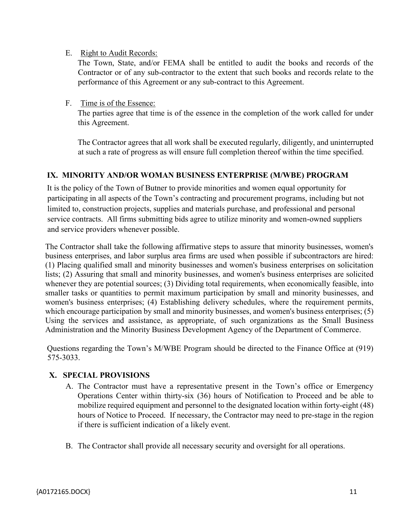E. Right to Audit Records:

The Town, State, and/or FEMA shall be entitled to audit the books and records of the Contractor or of any sub-contractor to the extent that such books and records relate to the performance of this Agreement or any sub-contract to this Agreement.

F. Time is of the Essence:

The parties agree that time is of the essence in the completion of the work called for under this Agreement.

The Contractor agrees that all work shall be executed regularly, diligently, and uninterrupted at such a rate of progress as will ensure full completion thereof within the time specified.

#### **IX. MINORITY AND/OR WOMAN BUSINESS ENTERPRISE (M/WBE) PROGRAM**

It is the policy of the Town of Butner to provide minorities and women equal opportunity for participating in all aspects of the Town's contracting and procurement programs, including but not limited to, construction projects, supplies and materials purchase, and professional and personal service contracts. All firms submitting bids agree to utilize minority and women-owned suppliers and service providers whenever possible.

The Contractor shall take the following affirmative steps to assure that minority businesses, women's business enterprises, and labor surplus area firms are used when possible if subcontractors are hired: (1) Placing qualified small and minority businesses and women's business enterprises on solicitation lists; (2) Assuring that small and minority businesses, and women's business enterprises are solicited whenever they are potential sources; (3) Dividing total requirements, when economically feasible, into smaller tasks or quantities to permit maximum participation by small and minority businesses, and women's business enterprises; (4) Establishing delivery schedules, where the requirement permits, which encourage participation by small and minority businesses, and women's business enterprises; (5) Using the services and assistance, as appropriate, of such organizations as the Small Business Administration and the Minority Business Development Agency of the Department of Commerce.

Questions regarding the Town's M/WBE Program should be directed to the Finance Office at (919) 575-3033.

#### **X. SPECIAL PROVISIONS**

- A. The Contractor must have a representative present in the Town's office or Emergency Operations Center within thirty-six (36) hours of Notification to Proceed and be able to mobilize required equipment and personnel to the designated location within forty-eight (48) hours of Notice to Proceed. If necessary, the Contractor may need to pre-stage in the region if there is sufficient indication of a likely event.
- B. The Contractor shall provide all necessary security and oversight for all operations.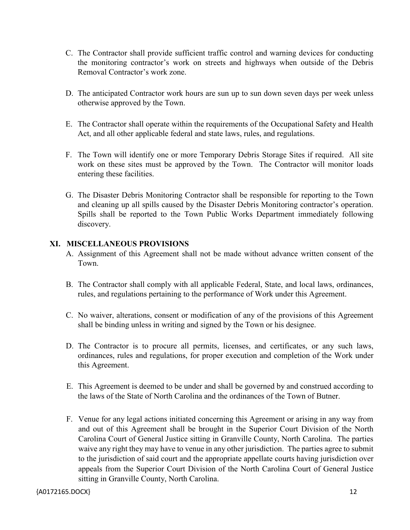- C. The Contractor shall provide sufficient traffic control and warning devices for conducting the monitoring contractor's work on streets and highways when outside of the Debris Removal Contractor's work zone.
- D. The anticipated Contractor work hours are sun up to sun down seven days per week unless otherwise approved by the Town.
- E. The Contractor shall operate within the requirements of the Occupational Safety and Health Act, and all other applicable federal and state laws, rules, and regulations.
- F. The Town will identify one or more Temporary Debris Storage Sites if required. All site work on these sites must be approved by the Town. The Contractor will monitor loads entering these facilities.
- G. The Disaster Debris Monitoring Contractor shall be responsible for reporting to the Town and cleaning up all spills caused by the Disaster Debris Monitoring contractor's operation. Spills shall be reported to the Town Public Works Department immediately following discovery.

### **XI. MISCELLANEOUS PROVISIONS**

- A. Assignment of this Agreement shall not be made without advance written consent of the Town.
- B. The Contractor shall comply with all applicable Federal, State, and local laws, ordinances, rules, and regulations pertaining to the performance of Work under this Agreement.
- C. No waiver, alterations, consent or modification of any of the provisions of this Agreement shall be binding unless in writing and signed by the Town or his designee.
- D. The Contractor is to procure all permits, licenses, and certificates, or any such laws, ordinances, rules and regulations, for proper execution and completion of the Work under this Agreement.
- E. This Agreement is deemed to be under and shall be governed by and construed according to the laws of the State of North Carolina and the ordinances of the Town of Butner.
- F. Venue for any legal actions initiated concerning this Agreement or arising in any way from and out of this Agreement shall be brought in the Superior Court Division of the North Carolina Court of General Justice sitting in Granville County, North Carolina. The parties waive any right they may have to venue in any other jurisdiction. The parties agree to submit to the jurisdiction of said court and the appropriate appellate courts having jurisdiction over appeals from the Superior Court Division of the North Carolina Court of General Justice sitting in Granville County, North Carolina.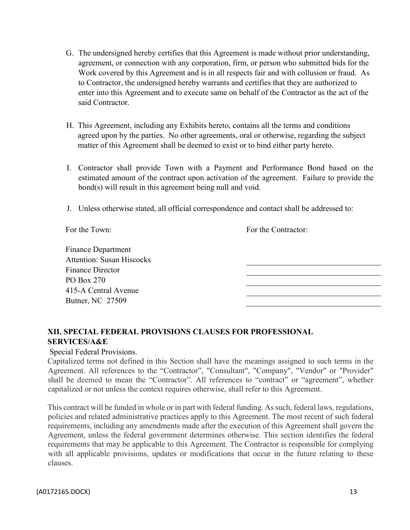- G. The undersigned hereby certifies that this Agreement is made without prior understanding, agreement, or connection with any corporation, firm, or person who submitted bids for the Work covered by this Agreement and is in all respects fair and with collusion or fraud. As to Contractor, the undersigned hereby warrants and certifies that they are authorized to enter into this Agreement and to execute same on behalf of the Contractor as the act of the said Contractor.
- H. This Agreement, including any Exhibits hereto, contains all the terms and conditions agreed upon by the parties. No other agreements, oral or otherwise, regarding the subject matter of this Agreement shall be deemed to exist or to bind either party hereto.
- I. Contractor shall provide Town with a Payment and Performance Bond based on the estimated amount of the contract upon activation of the agreement. Failure to provide the bond(s) will result in this agreement being null and void.
- J. Unless otherwise stated, all official correspondence and contact shall be addressed to:

For the Town: For the Contractor:

Finance Department Attention: Susan Hiscocks Finance Director PO Box 270 415-A Central Avenue Butner, NC 27509

# **XII. SPECIAL FEDERAL PROVISIONS CLAUSES FOR PROFESSIONAL SERVICES/A&E**

#### Special Federal Provisions.

Capitalized terms not defined in this Section shall have the meanings assigned to such terms in the Agreement. All references to the "Contractor", "Consultant", "Company", "Vendor" or "Provider" shall be deemed to mean the "Contractor". All references to "contract" or "agreement", whether capitalized or not unless the context requires otherwise, shall refer to this Agreement.

This contract will be funded in whole or in part with federal funding. As such, federal laws, regulations, policies and related administrative practices apply to this Agreement. The most recent of such federal requirements, including any amendments made after the execution of this Agreement shall govern the Agreement, unless the federal government determines otherwise. This section identifies the federal requirements that may be applicable to this Agreement. The Contractor is responsible for complying with all applicable provisions, updates or modifications that occur in the future relating to these clauses.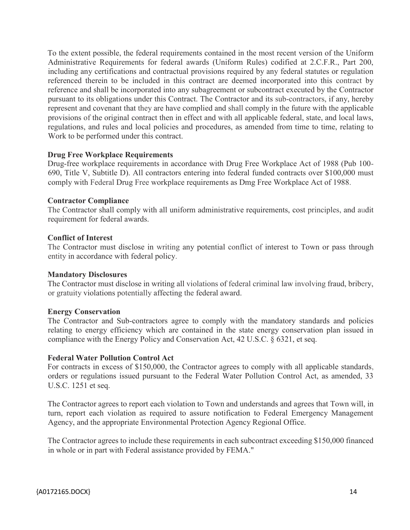To the extent possible, the federal requirements contained in the most recent version of the Uniform Administrative Requirements for federal awards (Uniform Rules) codified at 2.C.F.R., Part 200, including any certifications and contractual provisions required by any federal statutes or regulation referenced therein to be included in this contract are deemed incorporated into this contract by reference and shall be incorporated into any subagreement or subcontract executed by the Contractor pursuant to its obligations under this Contract. The Contractor and its sub-contractors, if any, hereby represent and covenant that they are have complied and shall comply in the future with the applicable provisions of the original contract then in effect and with all applicable federal, state, and local laws, regulations, and rules and local policies and procedures, as amended from time to time, relating to Work to be performed under this contract.

#### **Drug Free Workplace Requirements**

Drug-free workplace requirements in accordance with Drug Free Workplace Act of 1988 (Pub 100- 690, Title V, Subtitle D). All contractors entering into federal funded contracts over \$100,000 must comply with Federal Drug Free workplace requirements as Dmg Free Workplace Act of 1988.

#### **Contractor Compliance**

The Contractor shall comply with all uniform administrative requirements, cost principles, and audit requirement for federal awards.

#### **Conflict of Interest**

The Contractor must disclose in writing any potential conflict of interest to Town or pass through entity in accordance with federal policy.

#### **Mandatory Disclosures**

The Contractor must disclose in writing all violations of federal criminal law involving fraud, bribery, or gratuity violations potentially affecting the federal award.

#### **Energy Conservation**

The Contractor and Sub-contractors agree to comply with the mandatory standards and policies relating to energy efficiency which are contained in the state energy conservation plan issued in compliance with the Energy Policy and Conservation Act, 42 U.S.C. § 6321, et seq.

#### **Federal Water Pollution Control Act**

For contracts in excess of \$150,000, the Contractor agrees to comply with all applicable standards, orders or regulations issued pursuant to the Federal Water Pollution Control Act, as amended, 33 U.S.C. 1251 et seq.

The Contractor agrees to report each violation to Town and understands and agrees that Town will, in turn, report each violation as required to assure notification to Federal Emergency Management Agency, and the appropriate Environmental Protection Agency Regional Office.

The Contractor agrees to include these requirements in each subcontract exceeding \$150,000 financed in whole or in part with Federal assistance provided by FEMA."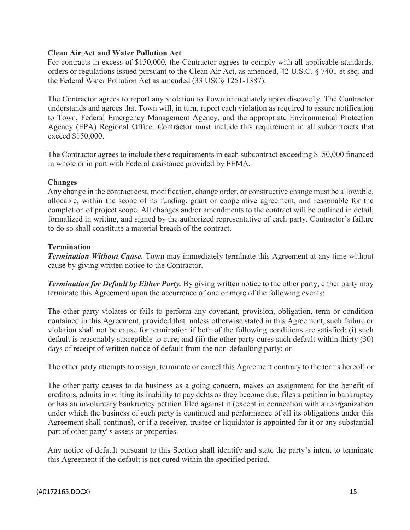#### **Clean Air Act and Water Pollution Act**

For contracts in excess of \$150,000, the Contractor agrees to comply with all applicable standards, orders or regulations issued pursuant to the Clean Air Act, as amended, 42 U.S.C. § 7401 et seq. and the Federal Water Pollution Act as amended (33 USC§ 1251-1387).

The Contractor agrees to report any violation to Town immediately upon discove1y. The Contractor understands and agrees that Town will, in turn, report each violation as required to assure notification to Town, Federal Emergency Management Agency, and the appropriate Environmental Protection Agency (EPA) Regional Office. Contractor must include this requirement in all subcontracts that exceed \$150,000.

The Contractor agrees to include these requirements in each subcontract exceeding \$150,000 financed in whole or in part with Federal assistance provided by FEMA.

#### **Changes**

Any change in the contract cost, modification, change order, or constructive change must be allowable, allocable, within the scope of its funding, grant or cooperative agreement, and reasonable for the completion of project scope. All changes and/or amendments to the contract will be outlined in detail, formalized in writing, and signed by the authorized representative of each party. Contractor's failure to do so shall constitute a material breach of the contract.

#### **Termination**

*Termination Without Cause.* Town may immediately terminate this Agreement at any time without cause by giving written notice to the Contractor.

*Termination for Default by Either Party.* By giving written notice to the other party, either party may terminate this Agreement upon the occurrence of one or more of the following events:

The other party violates or fails to perform any covenant, provision, obligation, term or condition contained in this Agreement, provided that, unless otherwise stated in this Agreement, such failure or violation shall not be cause for termination if both of the following conditions are satisfied: (i) such default is reasonably susceptible to cure; and (ii) the other party cures such default within thirty (30) days of receipt of written notice of default from the non-defaulting party; or

The other party attempts to assign, terminate or cancel this Agreement contrary to the terms hereof; or

The other party ceases to do business as a going concern, makes an assignment for the benefit of creditors, admits in writing its inability to pay debts as they become due, files a petition in bankruptcy or has an involuntary bankruptcy petition filed against it (except in connection with a reorganization under which the business of such party is continued and performance of all its obligations under this Agreement shall continue), or if a receiver, trustee or liquidator is appointed for it or any substantial part of other party' s assets or properties.

Any notice of default pursuant to this Section shall identify and state the party's intent to terminate this Agreement if the default is not cured within the specified period.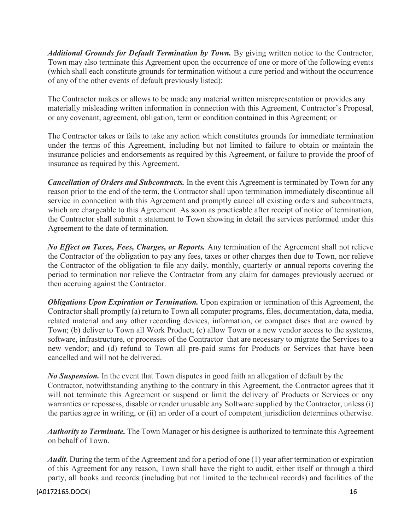*Additional Grounds for Default Termination by Town.* By giving written notice to the Contractor, Town may also terminate this Agreement upon the occurrence of one or more of the following events (which shall each constitute grounds for termination without a cure period and without the occurrence of any of the other events of default previously listed):

The Contractor makes or allows to be made any material written misrepresentation or provides any materially misleading written information in connection with this Agreement, Contractor's Proposal, or any covenant, agreement, obligation, term or condition contained in this Agreement; or

The Contractor takes or fails to take any action which constitutes grounds for immediate termination under the terms of this Agreement, including but not limited to failure to obtain or maintain the insurance policies and endorsements as required by this Agreement, or failure to provide the proof of insurance as required by this Agreement.

*Cancellation of Orders and Subcontracts.* In the event this Agreement is terminated by Town for any reason prior to the end of the term, the Contractor shall upon termination immediately discontinue all service in connection with this Agreement and promptly cancel all existing orders and subcontracts, which are chargeable to this Agreement. As soon as practicable after receipt of notice of termination, the Contractor shall submit a statement to Town showing in detail the services performed under this Agreement to the date of termination.

*No Effect on Taxes, Fees, Charges, or Reports.* Any termination of the Agreement shall not relieve the Contractor of the obligation to pay any fees, taxes or other charges then due to Town, nor relieve the Contractor of the obligation to file any daily, monthly, quarterly or annual reports covering the period to termination nor relieve the Contractor from any claim for damages previously accrued or then accruing against the Contractor.

*Obligations Upon Expiration or Termination.* Upon expiration or termination of this Agreement, the Contractorshall promptly (a) return to Town all computer programs, files, documentation, data, media, related material and any other recording devices, information, or compact discs that are owned by Town; (b) deliver to Town all Work Product; (c) allow Town or a new vendor access to the systems, software, infrastructure, or processes of the Contractor that are necessary to migrate the Services to a new vendor; and (d) refund to Town all pre-paid sums for Products or Services that have been cancelled and will not be delivered.

*No Suspension.* In the event that Town disputes in good faith an allegation of default by the Contractor, notwithstanding anything to the contrary in this Agreement, the Contractor agrees that it will not terminate this Agreement or suspend or limit the delivery of Products or Services or any warranties or repossess, disable or render unusable any Software supplied by the Contractor, unless (i) the parties agree in writing, or (ii) an order of a court of competent jurisdiction determines otherwise.

*Authority to Terminate.* The Town Manager or his designee is authorized to terminate this Agreement on behalf of Town.

*Audit.* During the term of the Agreement and for a period of one (1) year after termination or expiration of this Agreement for any reason, Town shall have the right to audit, either itself or through a third party, all books and records (including but not limited to the technical records) and facilities of the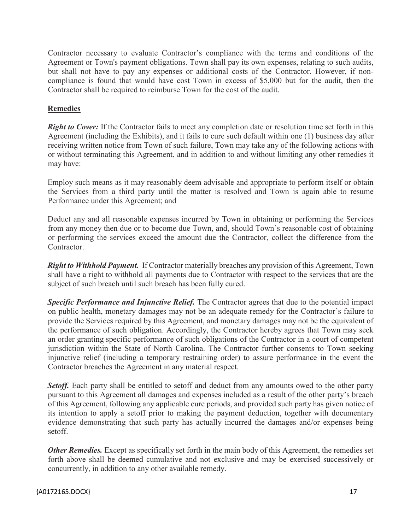Contractor necessary to evaluate Contractor's compliance with the terms and conditions of the Agreement or Town's payment obligations. Town shall pay its own expenses, relating to such audits, but shall not have to pay any expenses or additional costs of the Contractor. However, if noncompliance is found that would have cost Town in excess of \$5,000 but for the audit, then the Contractor shall be required to reimburse Town for the cost of the audit.

### **Remedies**

*Right to Cover:* If the Contractor fails to meet any completion date or resolution time set forth in this Agreement (including the Exhibits), and it fails to cure such default within one (1) business day after receiving written notice from Town of such failure, Town may take any of the following actions with or without terminating this Agreement, and in addition to and without limiting any other remedies it may have:

Employ such means as it may reasonably deem advisable and appropriate to perform itself or obtain the Services from a third party until the matter is resolved and Town is again able to resume Performance under this Agreement; and

Deduct any and all reasonable expenses incurred by Town in obtaining or performing the Services from any money then due or to become due Town, and, should Town's reasonable cost of obtaining or performing the services exceed the amount due the Contractor, collect the difference from the Contractor.

*Right to Withhold Payment.* If Contractor materially breaches any provision of this Agreement, Town shall have a right to withhold all payments due to Contractor with respect to the services that are the subject of such breach until such breach has been fully cured.

*Specific Performance and Injunctive Relief.* The Contractor agrees that due to the potential impact on public health, monetary damages may not be an adequate remedy for the Contractor's failure to provide the Services required by this Agreement, and monetary damages may not be the equivalent of the performance of such obligation. Accordingly, the Contractor hereby agrees that Town may seek an order granting specific performance of such obligations of the Contractor in a court of competent jurisdiction within the State of North Carolina. The Contractor further consents to Town seeking injunctive relief (including a temporary restraining order) to assure performance in the event the Contractor breaches the Agreement in any material respect.

**Setoff.** Each party shall be entitled to setoff and deduct from any amounts owed to the other party pursuant to this Agreement all damages and expenses included as a result of the other party's breach of this Agreement, following any applicable cure periods, and provided such party has given notice of its intention to apply a setoff prior to making the payment deduction, together with documentary evidence demonstrating that such party has actually incurred the damages and/or expenses being setoff.

*Other Remedies.* Except as specifically set forth in the main body of this Agreement, the remedies set forth above shall be deemed cumulative and not exclusive and may be exercised successively or concurrently, in addition to any other available remedy.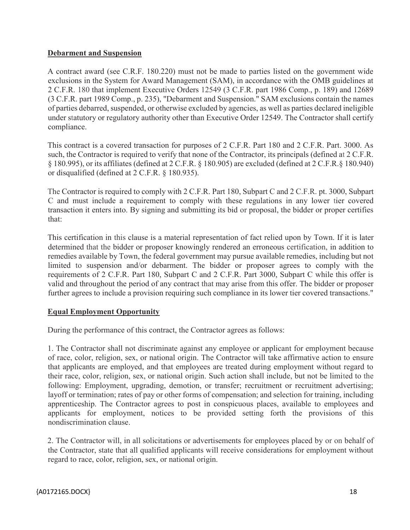#### **Debarment and Suspension**

A contract award (see C.R.F. 180.220) must not be made to parties listed on the government wide exclusions in the System for Award Management (SAM), in accordance with the OMB guidelines at 2 C.F.R. 180 that implement Executive Orders 12549 (3 C.F.R. part 1986 Comp., p. 189) and 12689 (3 C.F.R. part 1989 Comp., p. 235), "Debarment and Suspension." SAM exclusions contain the names of parties debarred, suspended, or otherwise excluded by agencies, as well as parties declared ineligible under statutory or regulatory authority other than Executive Order 12549. The Contractor shall certify compliance.

This contract is a covered transaction for purposes of 2 C.F.R. Part 180 and 2 C.F.R. Part. 3000. As such, the Contractor is required to verify that none of the Contractor, its principals (defined at 2 C.F.R. § 180.995), or its affiliates (defined at 2 C.F.R. § 180.905) are excluded (defined at 2 C.F.R.§ 180.940) or disqualified (defined at 2 C.F.R. § 180.935).

The Contractor is required to comply with 2 C.F.R. Part 180, Subpart C and 2 C.F.R. pt. 3000, Subpart C and must include a requirement to comply with these regulations in any lower tier covered transaction it enters into. By signing and submitting its bid or proposal, the bidder or proper certifies that:

This certification in this clause is a material representation of fact relied upon by Town. If it is later determined that the bidder or proposer knowingly rendered an erroneous certification, in addition to remedies available by Town, the federal government may pursue available remedies, including but not limited to suspension and/or debarment. The bidder or proposer agrees to comply with the requirements of 2 C.F.R. Part 180, Subpart C and 2 C.F.R. Part 3000, Subpart C while this offer is valid and throughout the period of any contract that may arise from this offer. The bidder or proposer further agrees to include a provision requiring such compliance in its lower tier covered transactions."

#### **Equal Employment Opportunity**

During the performance of this contract, the Contractor agrees as follows:

1. The Contractor shall not discriminate against any employee or applicant for employment because of race, color, religion, sex, or national origin. The Contractor will take affirmative action to ensure that applicants are employed, and that employees are treated during employment without regard to their race, color, religion, sex, or national origin. Such action shall include, but not be limited to the following: Employment, upgrading, demotion, or transfer; recruitment or recruitment advertising; layoff or termination; rates of pay or other forms of compensation; and selection for training, including apprenticeship. The Contractor agrees to post in conspicuous places, available to employees and applicants for employment, notices to be provided setting forth the provisions of this nondiscrimination clause.

2. The Contractor will, in all solicitations or advertisements for employees placed by or on behalf of the Contractor, state that all qualified applicants will receive considerations for employment without regard to race, color, religion, sex, or national origin.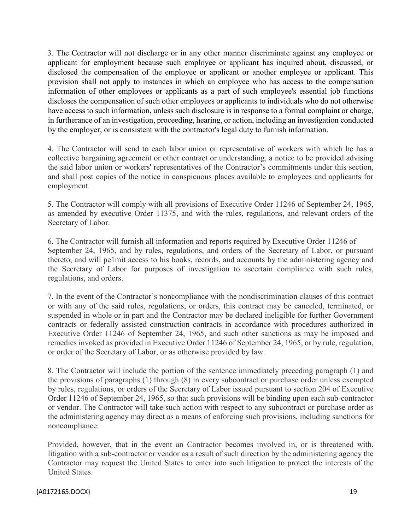3. The Contractor will not discharge or in any other manner discriminate against any employee or applicant for employment because such employee or applicant has inquired about, discussed, or disclosed the compensation of the employee or applicant or another employee or applicant. This provision shall not apply to instances in which an employee who has access to the compensation information of other employees or applicants as a part of such employee's essential job functions discloses the compensation of such other employees or applicants to individuals who do not otherwise have access to such information, unless such disclosure is in response to a formal complaint or charge, in furtherance of an investigation, proceeding, hearing, or action, including an investigation conducted by the employer, or is consistent with the contractor's legal duty to furnish information.

4. The Contractor will send to each labor union or representative of workers with which he has a collective bargaining agreement or other contract or understanding, a notice to be provided advising the said labor union or workers' representatives of the Contractor's commitments under this section, and shall post copies of the notice in conspicuous places available to employees and applicants for employment.

5. The Contractor will comply with all provisions of Executive Order 11246 of September 24, 1965, as amended by executive Order 11375, and with the rules, regulations, and relevant orders of the Secretary of Labor.

6. The Contractor will furnish all information and reports required by Executive Order 11246 of September 24, 1965, and by rules, regulations, and orders of the Secretary of Labor, or pursuant thereto, and will pe1mit access to his books, records, and accounts by the administering agency and the Secretary of Labor for purposes of investigation to ascertain compliance with such rules, regulations, and orders.

7. In the event of the Contractor's noncompliance with the nondiscrimination clauses of this contract or with any of the said rules, regulations, or orders, this contract may be canceled, terminated, or suspended in whole or in part and the Contractor may be declared ineligible for further Government contracts or federally assisted construction contracts in accordance with procedures authorized in Executive Order 11246 of September 24, 1965, and such other sanctions as may be imposed and remedies invoked as provided in Executive Order 11246 of September 24, 1965, or by rule, regulation, or order of the Secretary of Labor, or as otherwise provided by law.

8. The Contractor will include the portion of the sentence immediately preceding paragraph (1) and the provisions of paragraphs (1) through (8) in every subcontract or purchase order unless exempted by rules, regulations, or orders of the Secretary of Labor issued pursuant to section 204 of Executive Order 11246 of September 24, 1965, so that such provisions will be binding upon each sub-contractor or vendor. The Contractor will take such action with respect to any subcontract or purchase order as the administering agency may direct as a means of enforcing such provisions, including sanctions for noncompliance:

Provided, however, that in the event an Contractor becomes involved in, or is threatened with, litigation with a sub-contractor or vendor as a result of such direction by the administering agency the Contractor may request the United States to enter into such litigation to protect the interests of the United States.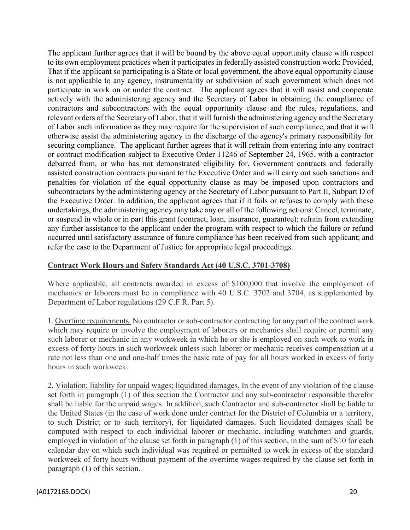The applicant further agrees that it will be bound by the above equal opportunity clause with respect to its own employment practices when it participates in federally assisted construction work: Provided, That if the applicant so participating is a State or local government, the above equal opportunity clause is not applicable to any agency, instrumentality or subdivision of such government which does not participate in work on or under the contract. The applicant agrees that it will assist and cooperate actively with the administering agency and the Secretary of Labor in obtaining the compliance of contractors and subcontractors with the equal opportunity clause and the rules, regulations, and relevant orders of the Secretary of Labor, that it will furnish the administering agency and the Secretary of Labor such information as they may require for the supervision of such compliance, and that it will otherwise assist the administering agency in the discharge of the agency's primary responsibility for securing compliance. The applicant further agrees that it will refrain from entering into any contract or contract modification subject to Executive Order 11246 of September 24, 1965, with a contractor debarred from, or who has not demonstrated eligibility for, Government contracts and federally assisted construction contracts pursuant to the Executive Order and will carry out such sanctions and penalties for violation of the equal opportunity clause as may be imposed upon contractors and subcontractors by the administering agency or the Secretary of Labor pursuant to Part II, Subpart D of the Executive Order. In addition, the applicant agrees that if it fails or refuses to comply with these undertakings, the administering agency may take any or all of the following actions: Cancel, terminate, or suspend in whole or in part this grant (contract, loan, insurance, guarantee); refrain from extending any further assistance to the applicant under the program with respect to which the failure or refund occurred until satisfactory assurance of future compliance has been received from such applicant; and refer the case to the Department of Justice for appropriate legal proceedings.

#### **Contract Work Hours and Safety Standards Act (40 U.S.C. 3701-3708)**

Where applicable, all contracts awarded in excess of \$100,000 that involve the employment of mechanics or laborers must be in compliance with 40 U.S.C. 3702 and 3704, as supplemented by Department of Labor regulations (29 C.F.R. Part 5).

1. Overtime requirements. No contractor or sub-contractor contracting for any part of the contract work which may require or involve the employment of laborers or mechanics shall require or permit any such laborer or mechanic in any workweek in which he or she is employed on such work to work in excess of forty hours in such workweek unless such laborer or mechanic receives compensation at a rate not less than one and one-half times the basic rate of pay for all hours worked in excess of forty hours in such workweek.

2. Violation; liability for unpaid wages; liquidated damages. In the event of any violation of the clause set forth in paragraph (1) of this section the Contractor and any sub-contractor responsible therefor shall be liable for the unpaid wages. In addition, such Contractor and sub-contractor shall be liable to the United States (in the case of work done under contract for the District of Columbia or a territory, to such District or to such territory), for liquidated damages. Such liquidated damages shall be computed with respect to each individual laborer or mechanic, including watchmen and guards, employed in violation of the clause set forth in paragraph (1) of this section, in the sum of \$10 for each calendar day on which such individual was required or permitted to work in excess of the standard workweek of forty hours without payment of the overtime wages required by the clause set forth in paragraph (1) of this section.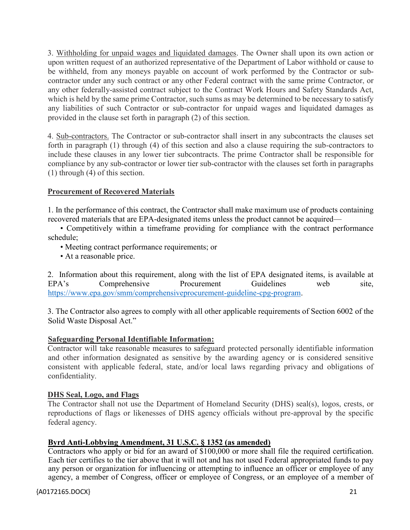3. Withholding for unpaid wages and liquidated damages. The Owner shall upon its own action or upon written request of an authorized representative of the Department of Labor withhold or cause to be withheld, from any moneys payable on account of work performed by the Contractor or subcontractor under any such contract or any other Federal contract with the same prime Contractor, or any other federally-assisted contract subject to the Contract Work Hours and Safety Standards Act, which is held by the same prime Contractor, such sums as may be determined to be necessary to satisfy any liabilities of such Contractor or sub-contractor for unpaid wages and liquidated damages as provided in the clause set forth in paragraph (2) of this section.

4. Sub-contractors. The Contractor or sub-contractor shall insert in any subcontracts the clauses set forth in paragraph (1) through (4) of this section and also a clause requiring the sub-contractors to include these clauses in any lower tier subcontracts. The prime Contractor shall be responsible for compliance by any sub-contractor or lower tier sub-contractor with the clauses set forth in paragraphs (1) through (4) of this section.

#### **Procurement of Recovered Materials**

1. In the performance of this contract, the Contractor shall make maximum use of products containing recovered materials that are EPA-designated items unless the product cannot be acquired—

• Competitively within a timeframe providing for compliance with the contract performance schedule;

- Meeting contract performance requirements; or
- At a reasonable price.

2. Information about this requirement, along with the list of EPA designated items, is available at EPA's Comprehensive Procurement Guidelines web site, [https://www.epa.gov/smm/comprehensiveprocurement-guideline-cpg-program.](https://www.epa.gov/smm/comprehensiveprocurement-guideline-cpg-program)

3. The Contractor also agrees to comply with all other applicable requirements of Section 6002 of the Solid Waste Disposal Act."

#### **Safeguarding Personal Identifiable Information:**

Contractor will take reasonable measures to safeguard protected personally identifiable information and other information designated as sensitive by the awarding agency or is considered sensitive consistent with applicable federal, state, and/or local laws regarding privacy and obligations of confidentiality.

#### **DHS Seal, Logo, and Flags**

The Contractor shall not use the Department of Homeland Security (DHS) seal(s), logos, crests, or reproductions of flags or likenesses of DHS agency officials without pre-approval by the specific federal agency.

#### **Byrd Anti-Lobbying Amendment, 31 U.S.C. § 1352 (as amended)**

Contractors who apply or bid for an award of \$100,000 or more shall file the required certification. Each tier certifies to the tier above that it will not and has not used Federal appropriated funds to pay any person or organization for influencing or attempting to influence an officer or employee of any agency, a member of Congress, officer or employee of Congress, or an employee of a member of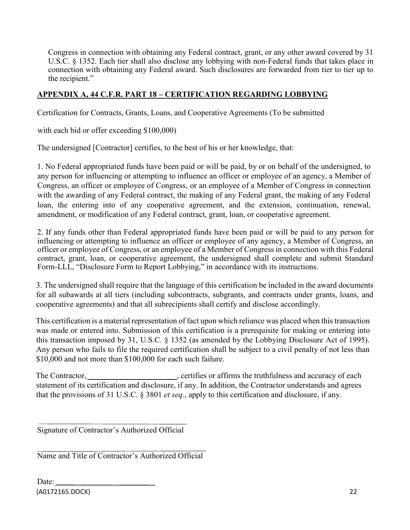Congress in connection with obtaining any Federal contract, grant, or any other award covered by 31 U.S.C. § 1352. Each tier shall also disclose any lobbying with non-Federal funds that takes place in connection with obtaining any Federal award. Such disclosures are forwarded from tier to tier up to the recipient."

# **APPENDIX A, 44 C.F.R. PART 18 – CERTIFICATION REGARDING LOBBYING**

Certification for Contracts, Grants, Loans, and Cooperative Agreements (To be submitted

with each bid or offer exceeding \$100,000)

The undersigned [Contractor] certifies, to the best of his or her knowledge, that:

1. No Federal appropriated funds have been paid or will be paid, by or on behalf of the undersigned, to any person for influencing or attempting to influence an officer or employee of an agency, a Member of Congress, an officer or employee of Congress, or an employee of a Member of Congress in connection with the awarding of any Federal contract, the making of any Federal grant, the making of any Federal loan, the entering into of any cooperative agreement, and the extension, continuation, renewal, amendment, or modification of any Federal contract, grant, loan, or cooperative agreement.

2. If any funds other than Federal appropriated funds have been paid or will be paid to any person for influencing or attempting to influence an officer or employee of any agency, a Member of Congress, an officer or employee of Congress, or an employee of a Member of Congress in connection with this Federal contract, grant, loan, or cooperative agreement, the undersigned shall complete and submit Standard Form-LLL, "Disclosure Form to Report Lobbying," in accordance with its instructions.

3. The undersigned shall require that the language of this certification be included in the award documents for all subawards at all tiers (including subcontracts, subgrants, and contracts under grants, loans, and cooperative agreements) and that all subrecipients shall certify and disclose accordingly.

This certification is a material representation of fact upon which reliance was placed when this transaction was made or entered into. Submission of this certification is a prerequisite for making or entering into this transaction imposed by 31, U.S.C. § 1352 (as amended by the Lobbying Disclosure Act of 1995). Any person who fails to file the required certification shall be subject to a civil penalty of not less than \$10,000 and not more than \$100,000 for each such failure.

The Contractor, errifies or affirms the truthfulness and accuracy of each statement of its certification and disclosure, if any. In addition, the Contractor understands and agrees that the provisions of 31 U.S.C. § 3801 *et seq*., apply to this certification and disclosure, if any.

Signature of Contractor's Authorized Official

Name and Title of Contractor's Authorized Official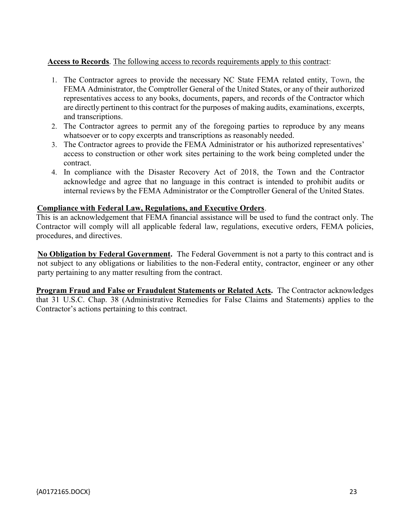#### **Access to Records**. The following access to records requirements apply to this contract:

- 1. The Contractor agrees to provide the necessary NC State FEMA related entity, Town, the FEMA Administrator, the Comptroller General of the United States, or any of their authorized representatives access to any books, documents, papers, and records of the Contractor which are directly pertinent to this contract for the purposes of making audits, examinations, excerpts, and transcriptions.
- 2. The Contractor agrees to permit any of the foregoing parties to reproduce by any means whatsoever or to copy excerpts and transcriptions as reasonably needed.
- 3. The Contractor agrees to provide the FEMA Administrator or his authorized representatives' access to construction or other work sites pertaining to the work being completed under the contract.
- 4. In compliance with the Disaster Recovery Act of 2018, the Town and the Contractor acknowledge and agree that no language in this contract is intended to prohibit audits or internal reviews by the FEMA Administrator or the Comptroller General of the United States.

#### **Compliance with Federal Law, Regulations, and Executive Orders**.

This is an acknowledgement that FEMA financial assistance will be used to fund the contract only. The Contractor will comply will all applicable federal law, regulations, executive orders, FEMA policies, procedures, and directives.

**No Obligation by Federal Government.** The Federal Government is not a party to this contract and is not subject to any obligations or liabilities to the non-Federal entity, contractor, engineer or any other party pertaining to any matter resulting from the contract.

**Program Fraud and False or Fraudulent Statements or Related Acts.** The Contractor acknowledges that 31 U.S.C. Chap. 38 (Administrative Remedies for False Claims and Statements) applies to the Contractor's actions pertaining to this contract.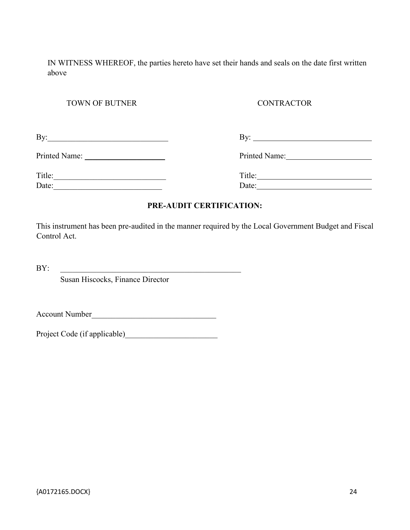IN WITNESS WHEREOF, the parties hereto have set their hands and seals on the date first written above

#### TOWN OF BUTNER CONTRACTOR

| By:           | Bv:           |
|---------------|---------------|
| Printed Name: | Printed Name: |
| Title:        | Title:        |
| Date:         | Date:         |

#### **PRE-AUDIT CERTIFICATION:**

This instrument has been pre-audited in the manner required by the Local Government Budget and Fiscal Control Act.

BY: \_\_\_\_\_\_\_\_\_\_\_\_\_\_\_\_\_\_\_\_\_\_\_\_\_\_\_\_\_\_\_\_\_\_\_\_\_\_\_\_\_\_\_\_\_

Susan Hiscocks, Finance Director

Account Number\_\_\_\_\_\_\_\_\_\_\_\_\_\_\_\_\_\_\_\_\_\_\_\_\_\_\_\_\_\_\_

Project Code (if applicable)\_\_\_\_\_\_\_\_\_\_\_\_\_\_\_\_\_\_\_\_\_\_\_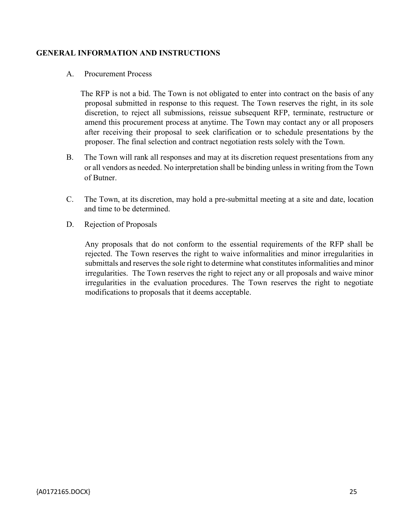### **GENERAL INFORMATION AND INSTRUCTIONS**

#### A. Procurement Process

The RFP is not a bid. The Town is not obligated to enter into contract on the basis of any proposal submitted in response to this request. The Town reserves the right, in its sole discretion, to reject all submissions, reissue subsequent RFP, terminate, restructure or amend this procurement process at anytime. The Town may contact any or all proposers after receiving their proposal to seek clarification or to schedule presentations by the proposer. The final selection and contract negotiation rests solely with the Town.

- B. The Town will rank all responses and may at its discretion request presentations from any or all vendors as needed. No interpretation shall be binding unless in writing from the Town of Butner.
- C. The Town, at its discretion, may hold a pre-submittal meeting at a site and date, location and time to be determined.
- D. Rejection of Proposals

Any proposals that do not conform to the essential requirements of the RFP shall be rejected. The Town reserves the right to waive informalities and minor irregularities in submittals and reserves the sole right to determine what constitutes informalities and minor irregularities. The Town reserves the right to reject any or all proposals and waive minor irregularities in the evaluation procedures. The Town reserves the right to negotiate modifications to proposals that it deems acceptable.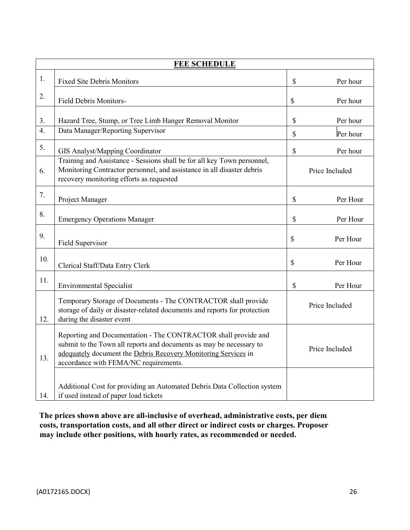| <b>FEE SCHEDULE</b>    |                                                                                                                                                                                                                                                  |               |                |
|------------------------|--------------------------------------------------------------------------------------------------------------------------------------------------------------------------------------------------------------------------------------------------|---------------|----------------|
| 1.                     | <b>Fixed Site Debris Monitors</b>                                                                                                                                                                                                                | \$            | Per hour       |
| 2.                     | <b>Field Debris Monitors-</b>                                                                                                                                                                                                                    | \$            | Per hour       |
| 3.<br>$\overline{4}$ . | Hazard Tree, Stump, or Tree Limb Hanger Removal Monitor                                                                                                                                                                                          | \$            | Per hour       |
|                        | Data Manager/Reporting Supervisor                                                                                                                                                                                                                | \$            | Per hour       |
| 5.                     | GIS Analyst/Mapping Coordinator                                                                                                                                                                                                                  | \$            | Per hour       |
| 6.                     | Training and Assistance - Sessions shall be for all key Town personnel,<br>Monitoring Contractor personnel, and assistance in all disaster debris<br>recovery monitoring efforts as requested                                                    |               | Price Included |
| 7.                     | Project Manager                                                                                                                                                                                                                                  | \$            | Per Hour       |
| 8.                     | <b>Emergency Operations Manager</b>                                                                                                                                                                                                              | \$            | Per Hour       |
| 9.                     | Field Supervisor                                                                                                                                                                                                                                 | $\mathcal{S}$ | Per Hour       |
| 10.                    | Clerical Staff/Data Entry Clerk                                                                                                                                                                                                                  | $\mathcal{S}$ | Per Hour       |
| 11.                    | <b>Environmental Specialist</b>                                                                                                                                                                                                                  | \$            | Per Hour       |
| 12.                    | Temporary Storage of Documents - The CONTRACTOR shall provide<br>storage of daily or disaster-related documents and reports for protection<br>during the disaster event                                                                          |               | Price Included |
| 13.                    | Reporting and Documentation - The CONTRACTOR shall provide and<br>submit to the Town all reports and documents as may be necessary to<br>adequately document the Debris Recovery Monitoring Services in<br>accordance with FEMA/NC requirements. |               | Price Included |
| 14.                    | Additional Cost for providing an Automated Debris Data Collection system<br>if used instead of paper load tickets                                                                                                                                |               |                |

**The prices shown above are all-inclusive of overhead, administrative costs, per diem costs, transportation costs, and all other direct or indirect costs or charges. Proposer may include other positions, with hourly rates, as recommended or needed.**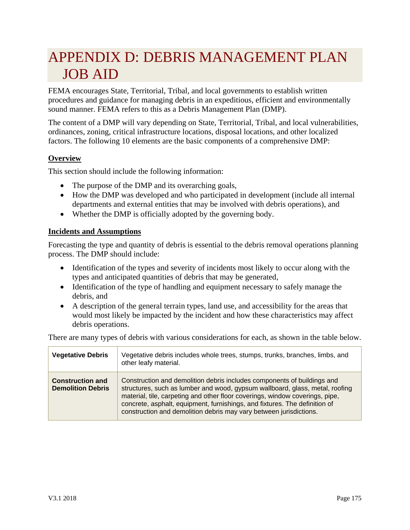# APPENDIX D: DEBRIS MANAGEMENT PLAN JOB AID

FEMA encourages State, Territorial, Tribal, and local governments to establish written procedures and guidance for managing debris in an expeditious, efficient and environmentally sound manner. FEMA refers to this as a Debris Management Plan (DMP).

The content of a DMP will vary depending on State, Territorial, Tribal, and local vulnerabilities, ordinances, zoning, critical infrastructure locations, disposal locations, and other localized factors. The following 10 elements are the basic components of a comprehensive DMP:

#### **Overview**

This section should include the following information:

- The purpose of the DMP and its overarching goals,
- How the DMP was developed and who participated in development (include all internal departments and external entities that may be involved with debris operations), and
- Whether the DMP is officially adopted by the governing body.

#### **Incidents and Assumptions**

Forecasting the type and quantity of debris is essential to the debris removal operations planning process. The DMP should include:

- types and anticipated quantities of debris that may be generated, Identification of the types and severity of incidents most likely to occur along with the
- debris, and • Identification of the type of handling and equipment necessary to safely manage the
- A description of the general terrain types, land use, and accessibility for the areas that would most likely be impacted by the incident and how these characteristics may affect debris operations.

There are many types of debris with various considerations for each, as shown in the table below.

| <b>Vegetative Debris</b>                            | Vegetative debris includes whole trees, stumps, trunks, branches, limbs, and<br>other leafy material.                                                                                                                                                                                                                                                                                       |
|-----------------------------------------------------|---------------------------------------------------------------------------------------------------------------------------------------------------------------------------------------------------------------------------------------------------------------------------------------------------------------------------------------------------------------------------------------------|
| <b>Construction and</b><br><b>Demolition Debris</b> | Construction and demolition debris includes components of buildings and<br>structures, such as lumber and wood, gypsum wallboard, glass, metal, roofing<br>material, tile, carpeting and other floor coverings, window coverings, pipe,<br>concrete, asphalt, equipment, furnishings, and fixtures. The definition of<br>construction and demolition debris may vary between jurisdictions. |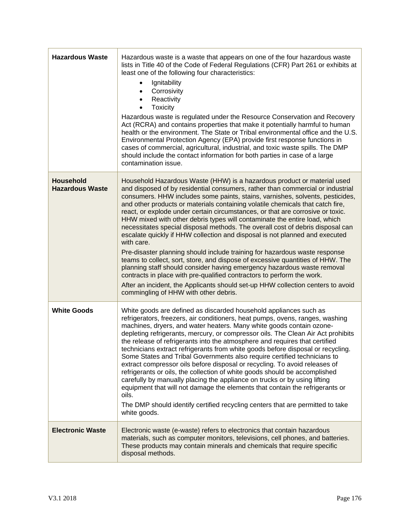| <b>Hazardous Waste</b>                     | Hazardous waste is a waste that appears on one of the four hazardous waste<br>lists in Title 40 of the Code of Federal Regulations (CFR) Part 261 or exhibits at<br>least one of the following four characteristics:<br>Ignitability<br>$\bullet$<br>Corrosivity<br>$\bullet$<br>Reactivity<br>$\bullet$<br><b>Toxicity</b><br>$\bullet$<br>Hazardous waste is regulated under the Resource Conservation and Recovery<br>Act (RCRA) and contains properties that make it potentially harmful to human<br>health or the environment. The State or Tribal environmental office and the U.S.<br>Environmental Protection Agency (EPA) provide first response functions in<br>cases of commercial, agricultural, industrial, and toxic waste spills. The DMP<br>should include the contact information for both parties in case of a large<br>contamination issue.                                                                                                                                                                                                                                                              |
|--------------------------------------------|-----------------------------------------------------------------------------------------------------------------------------------------------------------------------------------------------------------------------------------------------------------------------------------------------------------------------------------------------------------------------------------------------------------------------------------------------------------------------------------------------------------------------------------------------------------------------------------------------------------------------------------------------------------------------------------------------------------------------------------------------------------------------------------------------------------------------------------------------------------------------------------------------------------------------------------------------------------------------------------------------------------------------------------------------------------------------------------------------------------------------------|
| <b>Household</b><br><b>Hazardous Waste</b> | Household Hazardous Waste (HHW) is a hazardous product or material used<br>and disposed of by residential consumers, rather than commercial or industrial<br>consumers. HHW includes some paints, stains, varnishes, solvents, pesticides,<br>and other products or materials containing volatile chemicals that catch fire,<br>react, or explode under certain circumstances, or that are corrosive or toxic.<br>HHW mixed with other debris types will contaminate the entire load, which<br>necessitates special disposal methods. The overall cost of debris disposal can<br>escalate quickly if HHW collection and disposal is not planned and executed<br>with care.<br>Pre-disaster planning should include training for hazardous waste response<br>teams to collect, sort, store, and dispose of excessive quantities of HHW. The<br>planning staff should consider having emergency hazardous waste removal<br>contracts in place with pre-qualified contractors to perform the work.<br>After an incident, the Applicants should set-up HHW collection centers to avoid<br>commingling of HHW with other debris. |
| <b>White Goods</b>                         | White goods are defined as discarded household appliances such as<br>refrigerators, freezers, air conditioners, heat pumps, ovens, ranges, washing<br>machines, dryers, and water heaters. Many white goods contain ozone-<br>depleting refrigerants, mercury, or compressor oils. The Clean Air Act prohibits<br>the release of refrigerants into the atmosphere and requires that certified<br>technicians extract refrigerants from white goods before disposal or recycling.<br>Some States and Tribal Governments also require certified technicians to<br>extract compressor oils before disposal or recycling. To avoid releases of<br>refrigerants or oils, the collection of white goods should be accomplished<br>carefully by manually placing the appliance on trucks or by using lifting<br>equipment that will not damage the elements that contain the refrigerants or<br>oils.<br>The DMP should identify certified recycling centers that are permitted to take<br>white goods.                                                                                                                            |
| <b>Electronic Waste</b>                    | Electronic waste (e-waste) refers to electronics that contain hazardous<br>materials, such as computer monitors, televisions, cell phones, and batteries.<br>These products may contain minerals and chemicals that require specific<br>disposal methods.                                                                                                                                                                                                                                                                                                                                                                                                                                                                                                                                                                                                                                                                                                                                                                                                                                                                   |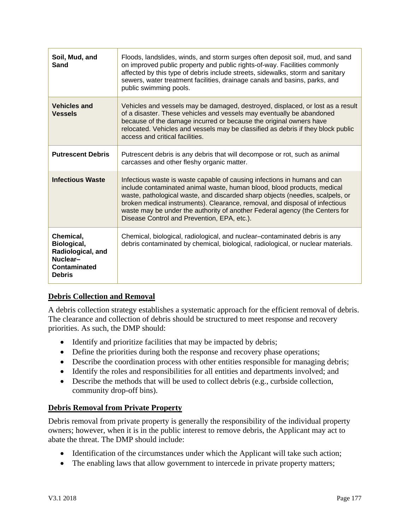| Soil, Mud, and<br>Sand                                                                     | Floods, landslides, winds, and storm surges often deposit soil, mud, and sand<br>on improved public property and public rights-of-way. Facilities commonly<br>affected by this type of debris include streets, sidewalks, storm and sanitary<br>sewers, water treatment facilities, drainage canals and basins, parks, and<br>public swimming pools.                                                                                               |  |
|--------------------------------------------------------------------------------------------|----------------------------------------------------------------------------------------------------------------------------------------------------------------------------------------------------------------------------------------------------------------------------------------------------------------------------------------------------------------------------------------------------------------------------------------------------|--|
| <b>Vehicles and</b><br><b>Vessels</b>                                                      | Vehicles and vessels may be damaged, destroyed, displaced, or lost as a result<br>of a disaster. These vehicles and vessels may eventually be abandoned<br>because of the damage incurred or because the original owners have<br>relocated. Vehicles and vessels may be classified as debris if they block public<br>access and critical facilities.                                                                                               |  |
| <b>Putrescent Debris</b>                                                                   | Putrescent debris is any debris that will decompose or rot, such as animal<br>carcasses and other fleshy organic matter.                                                                                                                                                                                                                                                                                                                           |  |
| <b>Infectious Waste</b>                                                                    | Infectious waste is waste capable of causing infections in humans and can<br>include contaminated animal waste, human blood, blood products, medical<br>waste, pathological waste, and discarded sharp objects (needles, scalpels, or<br>broken medical instruments). Clearance, removal, and disposal of infectious<br>waste may be under the authority of another Federal agency (the Centers for<br>Disease Control and Prevention, EPA, etc.). |  |
| Chemical,<br>Biological,<br>Radiological, and<br>Nuclear-<br>Contaminated<br><b>Debris</b> | Chemical, biological, radiological, and nuclear-contaminated debris is any<br>debris contaminated by chemical, biological, radiological, or nuclear materials.                                                                                                                                                                                                                                                                                     |  |

#### **Debris Collection and Removal**

A debris collection strategy establishes a systematic approach for the efficient removal of debris. The clearance and collection of debris should be structured to meet response and recovery priorities. As such, the DMP should:

- Identify and prioritize facilities that may be impacted by debris;
- Define the priorities during both the response and recovery phase operations;
- Describe the coordination process with other entities responsible for managing debris;
- Identify the roles and responsibilities for all entities and departments involved; and
- Describe the methods that will be used to collect debris (e.g., curbside collection, community drop-off bins).

#### **Debris Removal from Private Property**

Debris removal from private property is generally the responsibility of the individual property owners; however, when it is in the public interest to remove debris, the Applicant may act to abate the threat. The DMP should include:

- Identification of the circumstances under which the Applicant will take such action;
- The enabling laws that allow government to intercede in private property matters;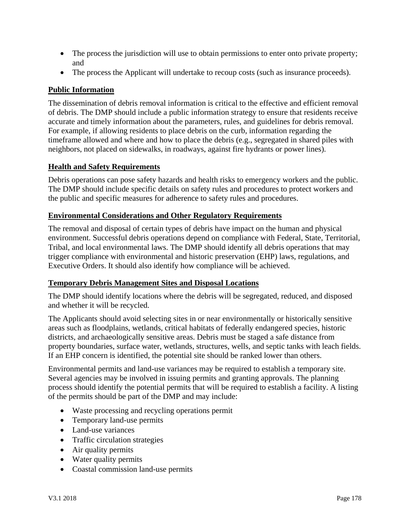- The process the jurisdiction will use to obtain permissions to enter onto private property; and
- The process the Applicant will undertake to recoup costs (such as insurance proceeds).

#### **Public Information**

The dissemination of debris removal information is critical to the effective and efficient removal of debris. The DMP should include a public information strategy to ensure that residents receive accurate and timely information about the parameters, rules, and guidelines for debris removal. For example, if allowing residents to place debris on the curb, information regarding the timeframe allowed and where and how to place the debris (e.g., segregated in shared piles with neighbors, not placed on sidewalks, in roadways, against fire hydrants or power lines).

#### **Health and Safety Requirements**

Debris operations can pose safety hazards and health risks to emergency workers and the public. The DMP should include specific details on safety rules and procedures to protect workers and the public and specific measures for adherence to safety rules and procedures.

#### **Environmental Considerations and Other Regulatory Requirements**

The removal and disposal of certain types of debris have impact on the human and physical environment. Successful debris operations depend on compliance with Federal, State, Territorial, Tribal, and local environmental laws. The DMP should identify all debris operations that may trigger compliance with environmental and historic preservation (EHP) laws, regulations, and Executive Orders. It should also identify how compliance will be achieved.

#### **Temporary Debris Management Sites and Disposal Locations**

The DMP should identify locations where the debris will be segregated, reduced, and disposed and whether it will be recycled.

 The Applicants should avoid selecting sites in or near environmentally or historically sensitive areas such as floodplains, wetlands, critical habitats of federally endangered species, historic districts, and archaeologically sensitive areas. Debris must be staged a safe distance from property boundaries, surface water, wetlands, structures, wells, and septic tanks with leach fields. If an EHP concern is identified, the potential site should be ranked lower than others.

Environmental permits and land-use variances may be required to establish a temporary site. Several agencies may be involved in issuing permits and granting approvals. The planning process should identify the potential permits that will be required to establish a facility. A listing of the permits should be part of the DMP and may include:

- Waste processing and recycling operations permit
- Temporary land-use permits
- Land-use variances
- Traffic circulation strategies
- Air quality permits
- Water quality permits
- Coastal commission land-use permits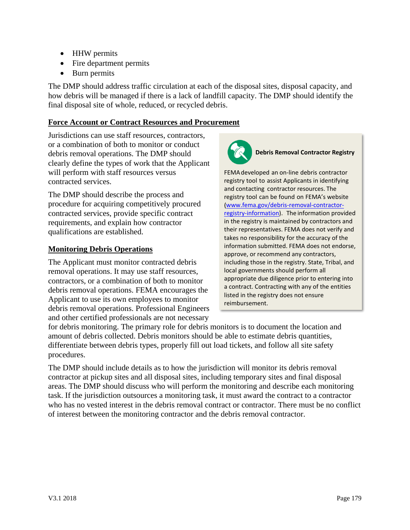- HHW permits
- Fire department permits
- Burn permits

The DMP should address traffic circulation at each of the disposal sites, disposal capacity, and how debris will be managed if there is a lack of landfill capacity. The DMP should identify the final disposal site of whole, reduced, or recycled debris.

#### **Force Account or Contract Resources and Procurement**

Jurisdictions can use staff resources, contractors, or a combination of both to monitor or conduct debris removal operations. The DMP should clearly define the types of work that the Applicant will perform with staff resources versus contracted services.

The DMP should describe the process and procedure for acquiring competitively procured contracted services, provide specific contract requirements, and explain how contractor qualifications are established.

#### **Monitoring Debris Operations**

The Applicant must monitor contracted debris removal operations. It may use staff resources, contractors, or a combination of both to monitor debris removal operations. FEMA encourages the Applicant to use its own employees to monitor debris removal operations. Professional Engineers and other certified professionals are not necessary



#### **Debris Removal Contractor Registry**

FEMA developed an on-line debris contractor registry tool to assist Applicants in identifying and contacting contractor resources. The registry tool can be found on FEMA's website [www.fema.gov/debris-removal-contractor](http://www.fema.gov/debris-removal-contractor-registry-information)[registry-information](http://www.fema.gov/debris-removal-contractor-registry-information)[\). T](http://www.fema.gov/business/contractor.shtm))he information provided in the registry is maintained by contractors and their representatives. FEMA does not verify and takes no responsibility for the accuracy of the information submitted. FEMA does not endorse, approve, or recommend any contractors, including those in the registry. State, Tribal, and local governments should perform all appropriate due diligence prior to entering into a contract. Contracting with any of the entities listed in the registry does not ensure reimbursement.

for debris monitoring. The primary role for debris monitors is to document the location and amount of debris collected. Debris monitors should be able to estimate debris quantities, differentiate between debris types, properly fill out load tickets, and follow all site safety procedures.

The DMP should include details as to how the jurisdiction will monitor its debris removal contractor at pickup sites and all disposal sites, including temporary sites and final disposal areas. The DMP should discuss who will perform the monitoring and describe each monitoring task. If the jurisdiction outsources a monitoring task, it must award the contract to a contractor who has no vested interest in the debris removal contract or contractor. There must be no conflict of interest between the monitoring contractor and the debris removal contractor.